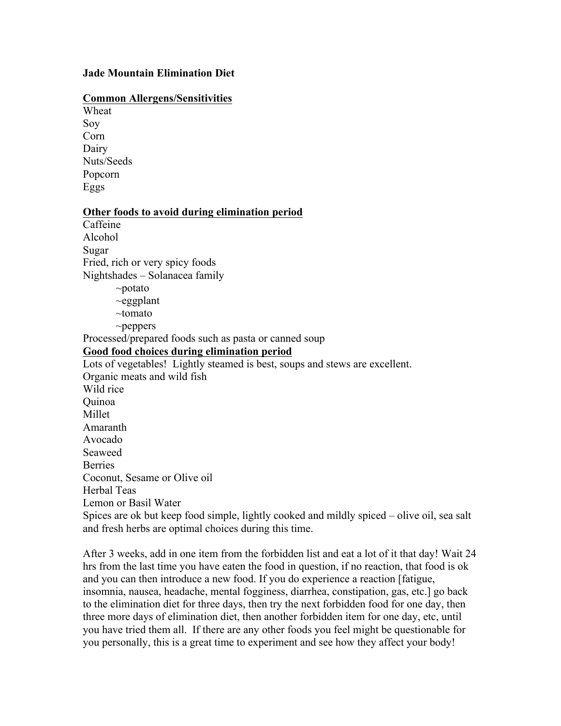## **Jade Mountain Elimination Diet**

## **Common Allergens/Sensitivities**

Wheat Soy Corn Dairy Nuts/Seeds Popcorn Eggs

## **Other foods to avoid during elimination period**

Caffeine Alcohol Sugar Fried, rich or very spicy foods Nightshades – Solanacea family ~potato  $\sim$ eggplant ~tomato ~peppers Processed/prepared foods such as pasta or canned soup **Good food choices during elimination period** Lots of vegetables! Lightly steamed is best, soups and stews are excellent. Organic meats and wild fish Wild rice Quinoa Millet Amaranth Avocado Seaweed **Berries** Coconut, Sesame or Olive oil Herbal Teas Lemon or Basil Water Spices are ok but keep food simple, lightly cooked and mildly spiced – olive oil, sea salt and fresh herbs are optimal choices during this time.

After 3 weeks, add in one item from the forbidden list and eat a lot of it that day! Wait 24 hrs from the last time you have eaten the food in question, if no reaction, that food is ok and you can then introduce a new food. If you do experience a reaction [fatigue, insomnia, nausea, headache, mental fogginess, diarrhea, constipation, gas, etc.] go back to the elimination diet for three days, then try the next forbidden food for one day, then three more days of elimination diet, then another forbidden item for one day, etc, until you have tried them all. If there are any other foods you feel might be questionable for you personally, this is a great time to experiment and see how they affect your body!